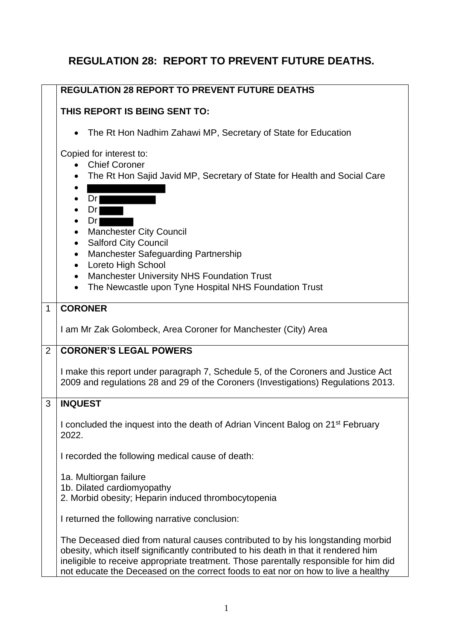## **REGULATION 28: REPORT TO PREVENT FUTURE DEATHS.**

|                | <b>REGULATION 28 REPORT TO PREVENT FUTURE DEATHS</b>                                                                                                                                                                                                                                                                                                  |  |  |
|----------------|-------------------------------------------------------------------------------------------------------------------------------------------------------------------------------------------------------------------------------------------------------------------------------------------------------------------------------------------------------|--|--|
|                | THIS REPORT IS BEING SENT TO:                                                                                                                                                                                                                                                                                                                         |  |  |
|                | The Rt Hon Nadhim Zahawi MP, Secretary of State for Education<br>$\bullet$                                                                                                                                                                                                                                                                            |  |  |
|                | Copied for interest to:<br>• Chief Coroner<br>The Rt Hon Sajid Javid MP, Secretary of State for Health and Social Care<br>Dr<br>$\bullet$<br>Dr<br>$\bullet$                                                                                                                                                                                          |  |  |
|                | Dr<br>$\bullet$<br><b>Manchester City Council</b><br>$\bullet$<br><b>Salford City Council</b><br>$\bullet$<br>Manchester Safeguarding Partnership<br>$\bullet$<br>Loreto High School<br>$\bullet$                                                                                                                                                     |  |  |
|                | Manchester University NHS Foundation Trust<br>$\bullet$<br>The Newcastle upon Tyne Hospital NHS Foundation Trust                                                                                                                                                                                                                                      |  |  |
| $\mathbf{1}$   | <b>CORONER</b>                                                                                                                                                                                                                                                                                                                                        |  |  |
|                | I am Mr Zak Golombeck, Area Coroner for Manchester (City) Area                                                                                                                                                                                                                                                                                        |  |  |
| $\overline{2}$ | <b>CORONER'S LEGAL POWERS</b>                                                                                                                                                                                                                                                                                                                         |  |  |
|                | I make this report under paragraph 7, Schedule 5, of the Coroners and Justice Act<br>2009 and regulations 28 and 29 of the Coroners (Investigations) Regulations 2013.                                                                                                                                                                                |  |  |
| 3              | <b>INQUEST</b>                                                                                                                                                                                                                                                                                                                                        |  |  |
|                | I concluded the inquest into the death of Adrian Vincent Balog on 21 <sup>st</sup> February<br>2022.                                                                                                                                                                                                                                                  |  |  |
|                | I recorded the following medical cause of death:                                                                                                                                                                                                                                                                                                      |  |  |
|                | 1a. Multiorgan failure<br>1b. Dilated cardiomyopathy<br>2. Morbid obesity; Heparin induced thrombocytopenia                                                                                                                                                                                                                                           |  |  |
|                | I returned the following narrative conclusion:                                                                                                                                                                                                                                                                                                        |  |  |
|                | The Deceased died from natural causes contributed to by his longstanding morbid<br>obesity, which itself significantly contributed to his death in that it rendered him<br>ineligible to receive appropriate treatment. Those parentally responsible for him did<br>not educate the Deceased on the correct foods to eat nor on how to live a healthy |  |  |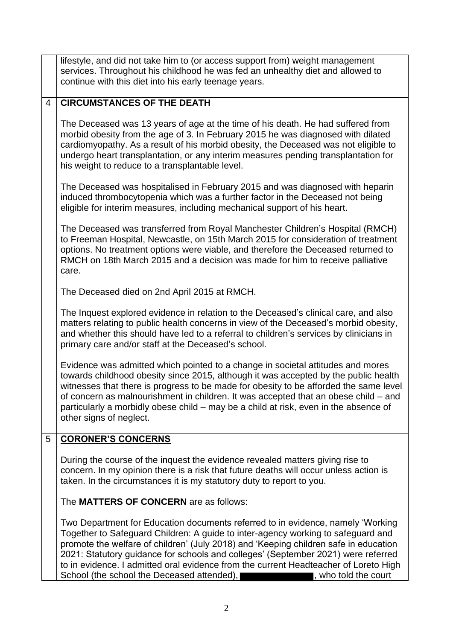lifestyle, and did not take him to (or access support from) weight management services. Throughout his childhood he was fed an unhealthy diet and allowed to continue with this diet into his early teenage years.

## 4 **CIRCUMSTANCES OF THE DEATH**

The Deceased was 13 years of age at the time of his death. He had suffered from morbid obesity from the age of 3. In February 2015 he was diagnosed with dilated cardiomyopathy. As a result of his morbid obesity, the Deceased was not eligible to undergo heart transplantation, or any interim measures pending transplantation for his weight to reduce to a transplantable level.

The Deceased was hospitalised in February 2015 and was diagnosed with heparin induced thrombocytopenia which was a further factor in the Deceased not being eligible for interim measures, including mechanical support of his heart.

The Deceased was transferred from Royal Manchester Children's Hospital (RMCH) to Freeman Hospital, Newcastle, on 15th March 2015 for consideration of treatment options. No treatment options were viable, and therefore the Deceased returned to RMCH on 18th March 2015 and a decision was made for him to receive palliative care.

The Deceased died on 2nd April 2015 at RMCH.

The Inquest explored evidence in relation to the Deceased's clinical care, and also matters relating to public health concerns in view of the Deceased's morbid obesity, and whether this should have led to a referral to children's services by clinicians in primary care and/or staff at the Deceased's school.

Evidence was admitted which pointed to a change in societal attitudes and mores towards childhood obesity since 2015, although it was accepted by the public health witnesses that there is progress to be made for obesity to be afforded the same level of concern as malnourishment in children. It was accepted that an obese child – and particularly a morbidly obese child – may be a child at risk, even in the absence of other signs of neglect.

## 5 **CORONER'S CONCERNS**

During the course of the inquest the evidence revealed matters giving rise to concern. In my opinion there is a risk that future deaths will occur unless action is taken. In the circumstances it is my statutory duty to report to you.

The **MATTERS OF CONCERN** are as follows:

Two Department for Education documents referred to in evidence, namely 'Working Together to Safeguard Children: A guide to inter-agency working to safeguard and promote the welfare of children' (July 2018) and 'Keeping children safe in education 2021: Statutory guidance for schools and colleges' (September 2021) were referred to in evidence. I admitted oral evidence from the current Headteacher of Loreto High School (the school the Deceased attended), **Exercíal contract in the school**, who told the court